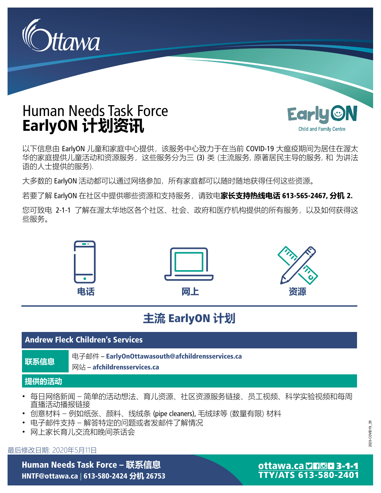

# Human Needs Task Force EarlyON **计划资讯**



以下信息由 EarlyON 儿童和家庭中心提供, 该服务中心致力于在当前 COVID-19 大瘟疫期间为居住在渥太 华的家庭提供儿童活动和资源服务,这些服务分为三 (3) 类 (主流服务, 原著居民主导的服务, 和 为讲法 语的人士提供的服务).

大多数的 EarlyON 活动都可以通过网络参加,所有家庭都可以随时随地获得任何这些资源。

若要了解 EarlyON 在社区中提供哪些资源和支持服务,请致电**家长支持热线电话** 613-565-2467, **分机** 2.

您可致电 2-1-1 了解在渥太华地区各个社区、社会、政府和医疗机构提供的所有服务,以及如何获得这 些服务。



# **主流** EarlyON **计划**

# Andrew Fleck Children's Services **联系信息** 电子邮件 – [EarlyOnOttawasouth@afchildrensservices.ca](mailto:EarlyOnOttawasouth@afchildrensservices.ca) 网站 – [afchildrensservices.ca](http://afchildrensservices.ca) **提供的活动** • 每日网络新闻 – 简单的活动想法、育儿资源、社区资源服务链接、员工视频、科学实验视频和每周 直播活动播报链接 • 创意材料 – 例如纸张、颜料、线绒条 (pipe cleaners), 毛绒球等 (数量有限) 材料 • 电子邮件支持 – 解答特定的问题或者发邮件了解情况

• 网上家长育儿交流和晚间茶话会

#### 最后修改日期: 2020年5月11日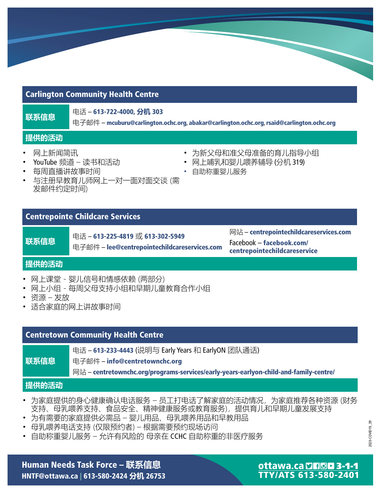# Carlington Community Health Centre

**联系信息 <sup>电话</sup> − 613-722-4000, 分机 303** 

电子邮件 – [mcuburu@carlington.ochc.org](mailto:mcuburu@carlington.ochc.org), [abakar@carlington.ochc.org](mailto:abakar@carlington.ochc.org), [rsaid@carlington.ochc.org](mailto:rsaid@carlington.ochc.org)

# **提供的活动**

- 网上新闻简讯
- YouTube 频道 读书和活动
- 每周直播讲故事时间
- 与注册早教育儿师网上一对一面对面交谈 (需 发邮件约定时间)

# Centrepointe Childcare Services

**联系信息 电话 − 613-225-4819 或 613-302-5949** 

电子邮件 – [lee@centrepointechildcareservices.com](mailto:lee@centrepointechildcareservices.com)

网站 – [centrepointechildcareservices.com](http://centrepointechildcareservices.com) Facebook – facebook.com/ [centrepointechildcareservice](http://facebook.com/)

• 为新父母和准父母准备的育儿指导小组 • 网上哺乳和婴儿喂养辅导 (分机 319)

• 自助称重婴儿服务

# **提供的活动**

- 网上课堂 婴儿信号和情感依赖 (两部分)
- 网上小组 每周父母支持小组和早期儿童教育合作小组
- 资源 发放
- 适合家庭的网上讲故事时间

# Centretown Community Health Centre

电话 – 613-233-4443 (说明与 Early Years 和 EarlyON 团队通话)

**联系信息** 电子邮件 – [info@centretownchc.org](mailto:info@centretownchc.org)

网站 – [centretownchc.org/programs-services/early-years-earlyon-child-and-family-centre/](http://centretownchc.org/programs-services/early-years-earlyon-child-and-family-centre/)

# **提供的活动**

- 为家庭提供的身心健康确认电话服务 员工打电话了解家庭的活动情况,为家庭推荐各种资源 (财务 支持、母乳喂养支持、食品安全、精神健康服务或教育服务),提供有儿和早期儿童发展支持
- 为有需要的家庭提供必需品 婴儿用品、母乳喂养用品和早教用品
- 母乳喂养电话支持 (仅限预约者) 根据需要预约现场访问
- 自助称重婴儿服务 允许有风险的 母亲在 CCHC 自助称重的非医疗服务

# Human Needs Task Force – **联系信息** HNTF@ottawa.ca | 613-580-2424 **分机** 26753

# ottawa.ca DHOD 3-1-1 **TTY/ATS 613-580-2401**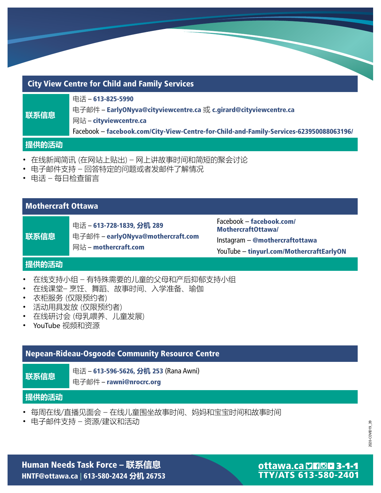| <b>City View Centre for Child and Family Services</b> |                                                                                                                                                                                                          |  |
|-------------------------------------------------------|----------------------------------------------------------------------------------------------------------------------------------------------------------------------------------------------------------|--|
| 联系信息                                                  | 电话-613-825-5990<br>电子邮件 - EarlyONyva@cityviewcentre.ca 或 c.girard@cityviewcentre.ca<br>网站 – cityviewcentre.ca<br>Facebook - facebook.com/City-View-Centre-for-Child-and-Family-Services-623950088063196/ |  |
| <b> 提供的活动</b>                                         |                                                                                                                                                                                                          |  |

- 在线新闻简讯 (在网站上贴出) 网上讲故事时间和简短的聚会讨论
- 电子邮件支持 回答特定的问题或者发邮件了解情况
- 电话 每日检查留言

### Mothercraft Ottawa

**联系信息** 电话 – 613-728-1839, **分机** 289 电子邮件 – [earlyONyva@mothercraft.com](mailto:earlyONyva@mothercraft.com) 网站 – [mothercraft.com](http://mothercraft.com)

Facebook – facebook.com/ [MothercraftOttawa/](http://facebook.com/) Instagram – @mothercraftottawa YouTube – [tinyurl.com/MothercraftEarlyON](http://tinyurl.com/MothercraftEarlyON)

#### **提供的活动**

- 在线支持小组 有特殊需要的儿童的父母和产后抑郁支持小组
- 在线课堂– 烹饪、舞蹈、故事时间、入学准备、瑜伽
- 衣柜服务 (仅限预约者)
- 活动用具发放 (仅限预约者)
- 在线研讨会 (母乳喂养、儿童发展)
- YouTube 视频和资源

### Nepean-Rideau-Osgoode Community Resource Centre

**联系信息 电话 – 613-596-5626, 分机 253 (Rana Awni)** 

电子邮件 – [rawni@nrocrc.org](mailto:rawni@nrocrc.org)

#### **提供的活动**

- 每周在线/直播见面会 在线儿童围坐故事时间、妈妈和宝宝时间和故事时间
- 电子邮件支持 资源/建议和活动

2020-COVID19\_39 2020-COVID19\_39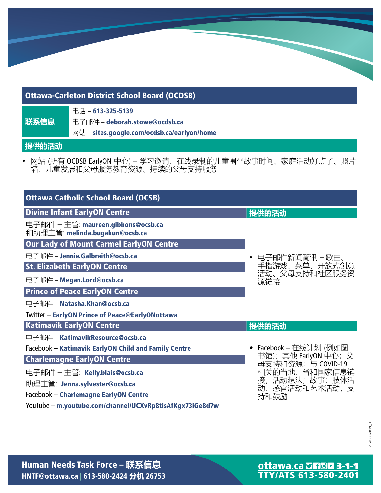# Ottawa-Carleton District School Board (OCDSB)

**联系信息** 电话 – 613-325-5139 电子邮件 – [deborah.stowe@ocdsb.ca](http://deborah.stowe@ocdsb.ca) 网站 – [sites.google.com/ocdsb.ca/earlyon/home](http://sites.google.com/ocdsb.ca/earlyon/home)

**提供的活动**

• 网站 (所有 OCDSB EarlyON 中心) – 学习邀请、在线录制的儿童围坐故事时间、家庭活动好点子、照片 墙、儿童发展和父母服务教育资源、持续的父母支持服务

| <b>Ottawa Catholic School Board (OCSB)</b>                           |                                            |
|----------------------------------------------------------------------|--------------------------------------------|
| <b>Divine Infant EarlyON Centre</b>                                  | 提供的活动                                      |
| 电子邮件 - 主管: maureen.gibbons@ocsb.ca<br>和助理主管: melinda.bugakun@ocsb.ca |                                            |
| <b>Our Lady of Mount Carmel EarlyON Centre</b>                       |                                            |
| 电子邮件 - Jennie.Galbraith@ocsb.ca                                      | 电子邮件新闻简讯 - 歌曲、                             |
| <b>St. Elizabeth EarlyON Centre</b>                                  | 手指游戏、菜单、开放式创意                              |
| 电子邮件 - Megan.Lord@ocsb.ca                                            | 活动、父母支持和社区服务资<br>源链接                       |
| <b>Prince of Peace EarlyON Centre</b>                                |                                            |
| 电子邮件 - Natasha.Khan@ocsb.ca                                          |                                            |
| <b>Twitter - EarlyON Prince of Peace@EarlyONottawa</b>               |                                            |
| <b>Katimavik EarlyON Centre</b>                                      | 提供的活动                                      |
| 电子邮件 - KatimavikResource@ocsb.ca                                     |                                            |
| Facebook - Katimavik EarlyON Child and Family Centre                 | • Facebook – 在线计划 (例如图                     |
| <b>Charlemagne EarlyON Centre</b>                                    | 书馆); 其他 EarlyON 中心; 父<br>母支持和资源;与 COVID-19 |
| 电子邮件 - 主管: Kelly.blais@ocsb.ca                                       | 相关的当地、省和国家信息链                              |
| 助理主管: Jenna.sylvester@ocsb.ca                                        | 接;活动想法;故事;肢体活<br>动、感官活动和艺术活动;支             |
| Facebook - Charlemagne EarlyON Centre                                | 持和鼓励                                       |
| YouTube - m.youtube.com/channel/UCXvRp8tisAfKgx73iGe8d7w             |                                            |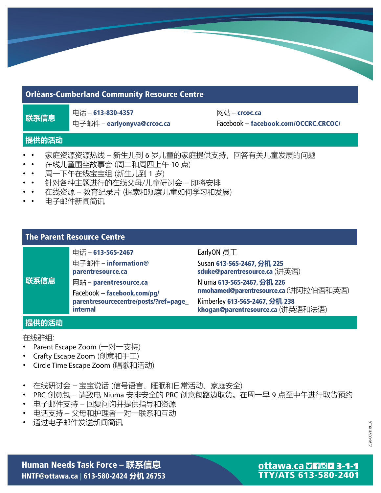### Orléans-Cumberland Community Resource Centre

■ 电话 – 613-830-4357<br>**联系信息** 

电子邮件 – [earlyonyva@crcoc.ca](mailto:earlyonyva@crcoc.ca)

网站 – **[crcoc.ca](http://crcoc.ca)** Facebook – [facebook.com/OCCRC.CRCOC/](http://facebook.com/OCCRC.CRCOC/)

### **提供的活动**

- 家庭资源资源热线 – 新生儿到 6 岁儿童的家庭提供支持, 回答有关儿童发展的问题
- • 在线儿童围坐故事会 (周二和周四上午 10 点)
- • 周一下午在线宝宝组 (新生儿到 1 岁)
- • 针对各种主题进行的在线父母/儿童研讨会 – 即将安排
- • 在线资源 – 教育纪录片 (探索和观察儿童如何学习和发展)
- • 电子邮件新闻简讯

### The Parent Resource Centre

# 电话 – 613-565-2467

#### 电子邮件 – information@ [parentresource.ca](mailto:information@)

**联系信息** 网站 – [parentresource.ca](http://parentresource.ca) Facebook – facebook.com/pg/ [parentresourcecentre/posts/?ref=page\\_](http://facebook.com/pg/) internal

EarlyON 员工

Susan 613-565-2467, **分机** 225 [sduke@parentresource.ca](mailto:sduke@parentresource.ca) (讲英语)

Niuma 613-565-2467, **分机** 226 [nmohamed@parentresource.ca](mailto:nmohamed@parentresource.ca) (讲阿拉伯语和英语)

Kimberley 613-565-2467, **分机** 238 [khogan@parentresource.ca](mailto:khogan@parentresource.ca) (讲英语和法语)

#### **提供的活动**

#### 在线群组:

- Parent Escape Zoom (一对一支持)
- Crafty Escape Zoom (创意和手工)
- Circle Time Escape Zoom (唱歌和活动)
- 在线研讨会 宝宝说话 (信号语言、睡眠和日常活动、家庭安全)
- PRC 创意包 请致电 Niuma 安排安全的 PRC 创意包路边取货。在周一早 9 点至中午进行取货预约
- 电子邮件支持 回复问询并提供指导和资源
- 电话支持 父母和护理者一对一联系和互动
- 通过电子邮件发送新闻简讯

2020-COVID19\_39 2020-COVID19\_39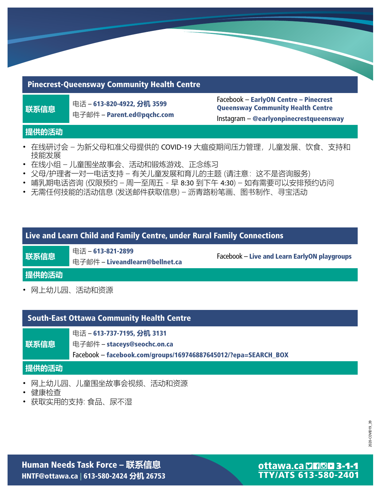# Pinecrest-Queensway Community Health Centre

**联系信息** 电话 – 613-820-4922, **分机** <sup>3599</sup> 电子邮件 – [Parent.ed@pqchc.com](mailto:Parent.ed@pqchc.com) Facebook – EarlyON Centre – Pinecrest Queensway Community Health Centre Instagram – @earlyonpinecrestqueensway

### **提供的活动**

- 在线研讨会 为新父母和准父母提供的 COVID-19 大瘟疫期间压力管理,儿童发展、饮食、支持和 技能发展
- 在线小组 儿童围坐故事会、活动和锻炼游戏、正念练习
- 父母/护理者一对一电话支持 有关儿童发展和育儿的主题 (请注意:这不是咨询服务)
- 哺乳期电话咨询 (仅限预约 周一至周五 早 8:30 到下午 4:30) 如有需要可以安排预约访问
- 无需任何技能的活动信息 (发送邮件获取信息) 沥青路粉笔画、图书制作、寻宝活动

# Live and Learn Child and Family Centre, under Rural Family Connections

**联系信息 <sup>电话</sup> − 613-821-2899** 电子邮件 – [Liveandlearn@bellnet.ca](mailto:Liveandlearn@bellnet.ca)

Facebook – Live and Learn EarlyON playgroups

#### **提供的活动**

• 网上幼儿园、活动和资源

# South-East Ottawa Community Health Centre

电话 – 613-737-7195, **分机** 3131

**联系信息** 电子邮件 – [staceys@seochc.on.ca](mailto:staceys@seochc.on.ca)

Facebook – [facebook.com/groups/169746887645012/?epa=SEARCH\\_BOX](http://facebook.com/groups/169746887645012/?epa=SEARCH_BOX)

#### **提供的活动**

- 网上幼儿园、儿童围坐故事会视频、活动和资源
- 健康检查
- 获取实用的支持: 食品、尿不湿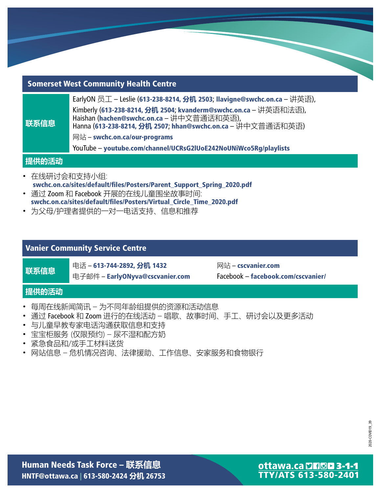# Somerset West Community Health Centre

| 联系信息 | EarlyON 员工 - Leslie (613-238-8214, 分机 2503; Ilavigne@swchc.on.ca - 讲英语),                                                                                                     |
|------|------------------------------------------------------------------------------------------------------------------------------------------------------------------------------|
|      | Kimberly (613-238-8214, 分机 2504, kvanderm@swchc.on.ca – 讲英语和法语),<br>Haishan (hachen@swchc.on.ca - 讲中文普通话和英语),<br>Hanna (613-238-8214, 分机 2507; hhan@swchc.on.ca - 讲中文普通话和英语) |
|      | 网站 – swchc.on.ca/our-programs                                                                                                                                                |
|      | YouTube - youtube.com/channel/UCRsG2IUoE242NoUNiWco5Rg/playlists                                                                                                             |

#### **提供的活动**

- 在线研讨会和支持小组: [swchc.on.ca/sites/default/fles/Posters/Parent\\_Support\\_Spring\\_2020.pdf](http://swchc.on.ca/sites/default/files/Posters/Parent_Support_Spring_2020.pdf)
- 通过 Zoom 和 Facebook 开展的在线儿童围坐故事时间:
- [swchc.on.ca/sites/default/fles/Posters/Virtual\\_Circle\\_Time\\_2020.pdf](http://swchc.on.ca/sites/default/files/Posters/Virtual_Circle_Time_2020.pdf)
- 为父母/护理者提供的一对一电话支持、信息和推荐

# Vanier Community Service Centre

**联系信息 电话 − 613-744-2892, 分机 1432** 

电子邮件 – [EarlyONyva@cscvanier.com](mailto:EarlyONyva@cscvanier.com)

网站 – [cscvanier.com](http://cscvanier.com) Facebook – [facebook.com/cscvanier/](http://facebook.com/cscvanier/)

#### **提供的活动**

- 每周在线新闻简讯 为不同年龄组提供的资源和活动信息
- 通过 Facebook 和 Zoom 进行的在线活动 唱歌、故事时间、手工、研讨会以及更多活动
- 与儿童早教专家电话沟通获取信息和支持
- 宝宝柜服务 (仅限预约) 尿不湿和配方奶
- 紧急食品和/或手工材料送货
- 网站信息 危机情况咨询、法律援助、工作信息、安家服务和食物银行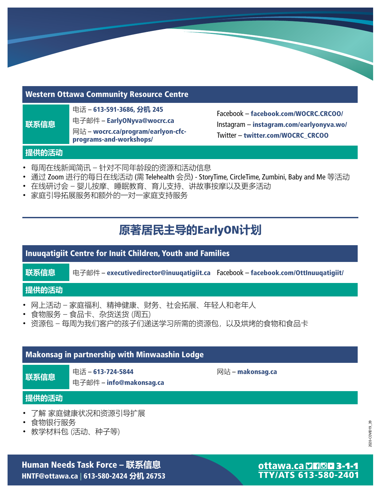### Western Ottawa Community Resource Centre

电话 – 613-591-3686, **分机** 245

电子邮件 – [EarlyONyva@wocrc.ca](mailto:EarlyONyva@wocrc.ca)

网站 – [wocrc.ca/program/earlyon-cfc](http://wocrc.ca/program/earlyon-cfcprograms-)programs-and-workshops/

Facebook – [facebook.com/WOCRC.CRCOO/](http://facebook.com/WOCRC.CRCOO/) Instagram – [instagram.com/earlyonyva.wo/](http://instagram.com/earlyonyva.wo/) Twitter – [twitter.com/WOCRC\\_CRCOO](http://twitter.com/WOCRC_CRCOO)

# **提供的活动**

**联系信息**

- 每周在线新闻简讯 针对不同年龄段的资源和活动信息
- 通过 Zoom 进行的每日在线活动 (需 Telehealth 会员) StoryTime, CircleTime, Zumbini, Baby and Me 等活动
- 在线研讨会 婴儿按摩、睡眠教育、育儿支持、讲故事按摩以及更多活动
- 家庭引导拓展服务和额外的一对一家庭支持服务

# **原著居民主导的**EarlyON**计划**

# Inuuqatigiit Centre for Inuit Children, Youth and Families **联系信息 电子邮件 – [executivedirector@inuuqatigiit.ca](mailto:executivedirector@inuuqatigiit.ca)** Facebook – [facebook.com/OttInuuqatigiit/](http://facebook.com/OttInuuqatigiit/) **提供的活动** • 网上活动 – 家庭福利、精神健康、财务、社会拓展、年轻人和老年人

- 食物服务 食品卡、杂货送货 (周五)
- 资源包 每周为我们客户的孩子们递送学习所需的资源包,以及烘烤的食物和食品卡

# Makonsag in partnership with Minwaashin Lodge

**联系信息 <sup>电话 – 613-724-5844**</sup> 电子邮件 – [info@makonsag.ca](mailto:info@makonsag.ca) 网站 – [makonsag.ca](http://makonsag.ca)

# **提供的活动**

- 了解 家庭健康状况和资源引导扩展
- 食物银行服务
- 教学材料包 (活动、种子等)

Human Needs Task Force – **联系信息** HNTF@ottawa.ca | 613-580-2424 **分机** 26753

# ottawa.ca DHOD 3-1-1 **TTY/ATS 613-580-2401**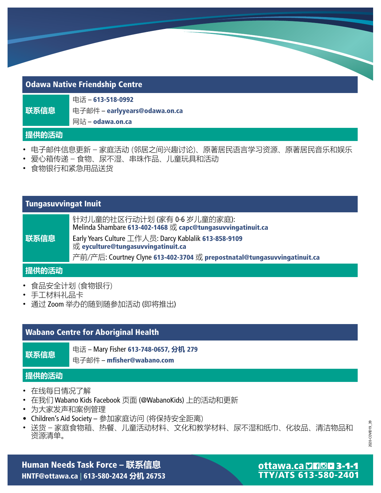# Odawa Native Friendship Centre

|      | 电话 – 613-518-0992             |
|------|-------------------------------|
| 联系信息 | 电子邮件 – earlyyears@odawa.on.ca |
|      | Model adams an aa             |

网站 – **[odawa.on.ca](http://odawa.on.ca)** 

### **提供的活动**

- 电子邮件信息更新 家庭活动 (邻居之间兴趣讨论)、原著居民语言学习资源、原著居民音乐和娱乐
- 爱心箱传递 食物、尿不湿、串珠作品、儿童玩具和活动
- 食物银行和紧急用品送货

# Tungasuvvingat Inuit

| 联系信息 | 针对儿童的社区行动计划 (家有 0-6 岁儿童的家庭):<br>Melinda Shambare 613-402-1468 或 capc@tungasuvvingatinuit.ca |
|------|---------------------------------------------------------------------------------------------|
|      | Early Years Culture 工作人员: Darcy Kablalik 613-858-9109<br>或 eyculture@tungasuvvingatinuit.ca |
|      | 产前/产后: Courtney Clyne 613-402-3704 或 prepostnatal@tungasuvvingatinuit.ca                    |

# **提供的活动**

- 食品安全计划 (食物银行)
- 手工材料礼品卡
- 通过 Zoom 举办的随到随参加活动 (即将推出)

# Wabano Centre for Aboriginal Health

**联系信息 电话 – Mary Fisher 613-748-0657, 分机 279** 

电子邮件 – mfisher@wabano.com

# **提供的活动**

- 在线每日情况了解
- 在我们 Wabano Kids Facebook 页面 (@WabanoKids) 上的活动和更新
- 为大家发声和案例管理
- Children's Aid Society 参加家庭访问 (将保持安全距离)
- 送货 家庭食物箱、热餐、儿童活动材料、文化和教学材料、尿不湿和纸巾、化妆品、清洁物品和 资源清单。

2020-COVID19\_39 2020-COVID19\_39